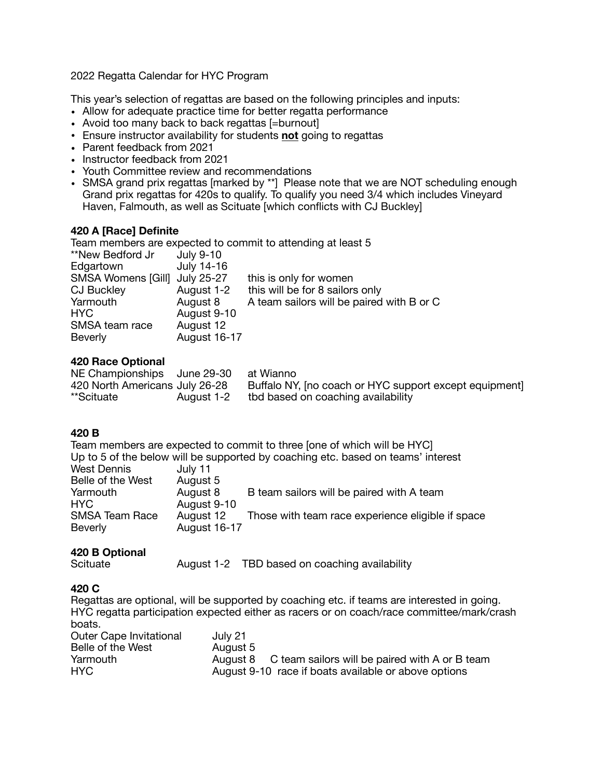2022 Regatta Calendar for HYC Program

This year's selection of regattas are based on the following principles and inputs:

- Allow for adequate practice time for better regatta performance
- Avoid too many back to back regattas [=burnout]
- Ensure instructor availability for students **not** going to regattas
- Parent feedback from 2021
- Instructor feedback from 2021
- Youth Committee review and recommendations
- SMSA grand prix regattas [marked by \*\*] Please note that we are NOT scheduling enough Grand prix regattas for 420s to qualify. To qualify you need 3/4 which includes Vineyard Haven, Falmouth, as well as Scituate [which conflicts with CJ Buckley]

# **420 A [Race] Definite**

Team members are expected to commit to attending at least 5

| this is only for women                    |
|-------------------------------------------|
| this will be for 8 sailors only           |
| A team sailors will be paired with B or C |
|                                           |
|                                           |
|                                           |
|                                           |

# **420 Race Optional**

| NE Championships June 29-30    |            | at Wianno                                              |
|--------------------------------|------------|--------------------------------------------------------|
| 420 North Americans July 26-28 |            | Buffalo NY, [no coach or HYC support except equipment] |
| **Scituate                     | August 1-2 | tbd based on coaching availability                     |

#### **420 B**

Team members are expected to commit to three [one of which will be HYC] Up to 5 of the below will be supported by coaching etc. based on teams' interest West Dennis July 11<br>Belle of the West August 5 Belle of the West August 5<br>
Yarmouth August 8 Yarmouth August 8 B team sailors will be paired with A team<br>HYC HYC August 9-10<br>SMSA Team Race August 12 August 12 Those with team race experience eligible if space Beverly August 16-17

#### **420 B Optional**

Scituate **August 1-2 TBD based on coaching availability** 

# **420 C**

Regattas are optional, will be supported by coaching etc. if teams are interested in going. HYC regatta participation expected either as racers or on coach/race committee/mark/crash boats.

| <b>Outer Cape Invitational</b> | July 21                                                 |
|--------------------------------|---------------------------------------------------------|
| Belle of the West              | August 5                                                |
| Yarmouth                       | August 8 C team sailors will be paired with A or B team |
| HYC.                           | August 9-10 race if boats available or above options    |